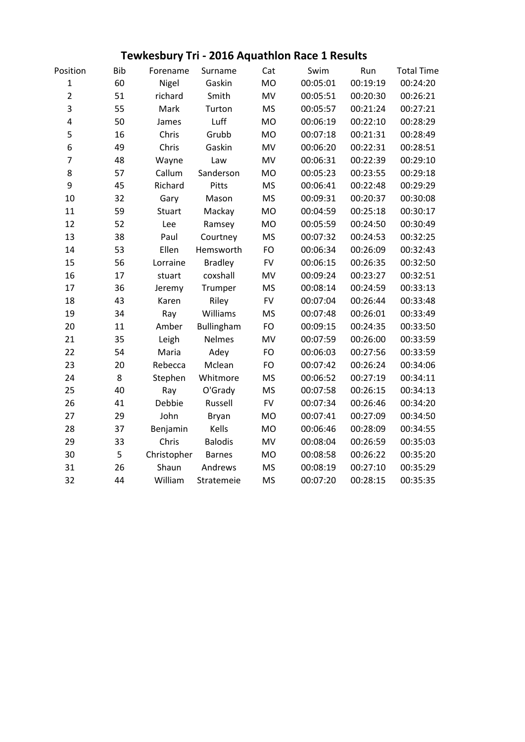## **Tewkesbury Tri - 2016 Aquathlon Race 1 Results**

| Position                | <b>Bib</b> | Forename    | Surname        | Cat        | Swim     | Run      | <b>Total Time</b> |
|-------------------------|------------|-------------|----------------|------------|----------|----------|-------------------|
| $\mathbf{1}$            | 60         | Nigel       | Gaskin         | <b>MO</b>  | 00:05:01 | 00:19:19 | 00:24:20          |
| $\overline{2}$          | 51         | richard     | Smith          | <b>MV</b>  | 00:05:51 | 00:20:30 | 00:26:21          |
| 3                       | 55         | Mark        | Turton         | <b>MS</b>  | 00:05:57 | 00:21:24 | 00:27:21          |
| $\overline{\mathbf{4}}$ | 50         | James       | Luff           | <b>MO</b>  | 00:06:19 | 00:22:10 | 00:28:29          |
| 5                       | 16         | Chris       | Grubb          | <b>MO</b>  | 00:07:18 | 00:21:31 | 00:28:49          |
| 6                       | 49         | Chris       | Gaskin         | <b>MV</b>  | 00:06:20 | 00:22:31 | 00:28:51          |
| $\overline{7}$          | 48         | Wayne       | Law            | MV         | 00:06:31 | 00:22:39 | 00:29:10          |
| 8                       | 57         | Callum      | Sanderson      | <b>MO</b>  | 00:05:23 | 00:23:55 | 00:29:18          |
| 9                       | 45         | Richard     | Pitts          | <b>MS</b>  | 00:06:41 | 00:22:48 | 00:29:29          |
| 10                      | 32         | Gary        | Mason          | <b>MS</b>  | 00:09:31 | 00:20:37 | 00:30:08          |
| 11                      | 59         | Stuart      | Mackay         | MO         | 00:04:59 | 00:25:18 | 00:30:17          |
| 12                      | 52         | Lee         | Ramsey         | <b>MO</b>  | 00:05:59 | 00:24:50 | 00:30:49          |
| 13                      | 38         | Paul        | Courtney       | <b>MS</b>  | 00:07:32 | 00:24:53 | 00:32:25          |
| 14                      | 53         | Ellen       | Hemsworth      | <b>FO</b>  | 00:06:34 | 00:26:09 | 00:32:43          |
| 15                      | 56         | Lorraine    | <b>Bradley</b> | <b>FV</b>  | 00:06:15 | 00:26:35 | 00:32:50          |
| 16                      | 17         | stuart      | coxshall       | <b>MV</b>  | 00:09:24 | 00:23:27 | 00:32:51          |
| 17                      | 36         | Jeremy      | Trumper        | <b>MS</b>  | 00:08:14 | 00:24:59 | 00:33:13          |
| 18                      | 43         | Karen       | Riley          | <b>FV</b>  | 00:07:04 | 00:26:44 | 00:33:48          |
| 19                      | 34         | Ray         | Williams       | <b>MS</b>  | 00:07:48 | 00:26:01 | 00:33:49          |
| 20                      | 11         | Amber       | Bullingham     | FO         | 00:09:15 | 00:24:35 | 00:33:50          |
| 21                      | 35         | Leigh       | <b>Nelmes</b>  | MV         | 00:07:59 | 00:26:00 | 00:33:59          |
| 22                      | 54         | Maria       | Adey           | <b>FO</b>  | 00:06:03 | 00:27:56 | 00:33:59          |
| 23                      | 20         | Rebecca     | Mclean         | <b>FO</b>  | 00:07:42 | 00:26:24 | 00:34:06          |
| 24                      | 8          | Stephen     | Whitmore       | <b>MS</b>  | 00:06:52 | 00:27:19 | 00:34:11          |
| 25                      | 40         | Ray         | O'Grady        | <b>MS</b>  | 00:07:58 | 00:26:15 | 00:34:13          |
| 26                      | 41         | Debbie      | Russell        | ${\sf FV}$ | 00:07:34 | 00:26:46 | 00:34:20          |
| 27                      | 29         | John        | Bryan          | <b>MO</b>  | 00:07:41 | 00:27:09 | 00:34:50          |
| 28                      | 37         | Benjamin    | Kells          | <b>MO</b>  | 00:06:46 | 00:28:09 | 00:34:55          |
| 29                      | 33         | Chris       | <b>Balodis</b> | MV         | 00:08:04 | 00:26:59 | 00:35:03          |
| 30                      | 5          | Christopher | <b>Barnes</b>  | <b>MO</b>  | 00:08:58 | 00:26:22 | 00:35:20          |
| 31                      | 26         | Shaun       | Andrews        | <b>MS</b>  | 00:08:19 | 00:27:10 | 00:35:29          |
| 32                      | 44         | William     | Stratemeie     | <b>MS</b>  | 00:07:20 | 00:28:15 | 00:35:35          |
|                         |            |             |                |            |          |          |                   |